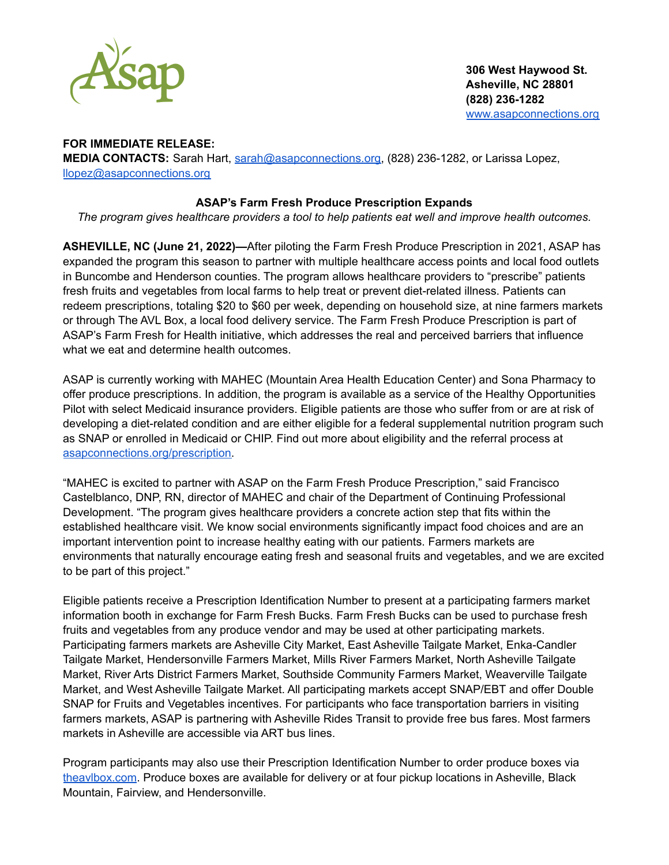

## **FOR IMMEDIATE RELEASE:**

**MEDIA CONTACTS:** Sarah Hart, [sarah@asapconnections.org,](mailto:sarah@asapconnections.org) (828) 236-1282, or Larissa Lopez, [llopez@asapconnections.org](mailto:llopez@asapconnections.org)

## **ASAP's Farm Fresh Produce Prescription Expands**

*The program gives healthcare providers a tool to help patients eat well and improve health outcomes.*

**ASHEVILLE, NC (June 21, 2022)—**After piloting the Farm Fresh Produce Prescription in 2021, ASAP has expanded the program this season to partner with multiple healthcare access points and local food outlets in Buncombe and Henderson counties. The program allows healthcare providers to "prescribe" patients fresh fruits and vegetables from local farms to help treat or prevent diet-related illness. Patients can redeem prescriptions, totaling \$20 to \$60 per week, depending on household size, at nine farmers markets or through The AVL Box, a local food delivery service. The Farm Fresh Produce Prescription is part of ASAP's Farm Fresh for Health initiative, which addresses the real and perceived barriers that influence what we eat and determine health outcomes.

ASAP is currently working with MAHEC (Mountain Area Health Education Center) and Sona Pharmacy to offer produce prescriptions. In addition, the program is available as a service of the Healthy Opportunities Pilot with select Medicaid insurance providers. Eligible patients are those who suffer from or are at risk of developing a diet-related condition and are either eligible for a federal supplemental nutrition program such as SNAP or enrolled in Medicaid or CHIP. Find out more about eligibility and the referral process at [asapconnections.org/prescription.](http://asapconnections.org/prescription)

"MAHEC is excited to partner with ASAP on the Farm Fresh Produce Prescription," said Francisco Castelblanco, DNP, RN, director of MAHEC and chair of the Department of Continuing Professional Development. "The program gives healthcare providers a concrete action step that fits within the established healthcare visit. We know social environments significantly impact food choices and are an important intervention point to increase healthy eating with our patients. Farmers markets are environments that naturally encourage eating fresh and seasonal fruits and vegetables, and we are excited to be part of this project."

Eligible patients receive a Prescription Identification Number to present at a participating farmers market information booth in exchange for Farm Fresh Bucks. Farm Fresh Bucks can be used to purchase fresh fruits and vegetables from any produce vendor and may be used at other participating markets. Participating farmers markets are Asheville City Market, East Asheville Tailgate Market, Enka-Candler Tailgate Market, Hendersonville Farmers Market, Mills River Farmers Market, North Asheville Tailgate Market, River Arts District Farmers Market, Southside Community Farmers Market, Weaverville Tailgate Market, and West Asheville Tailgate Market. All participating markets accept SNAP/EBT and offer Double SNAP for Fruits and Vegetables incentives. For participants who face transportation barriers in visiting farmers markets, ASAP is partnering with Asheville Rides Transit to provide free bus fares. Most farmers markets in Asheville are accessible via ART bus lines.

Program participants may also use their Prescription Identification Number to order produce boxes via [theavlbox.com](http://theavlbox.com). Produce boxes are available for delivery or at four pickup locations in Asheville, Black Mountain, Fairview, and Hendersonville.